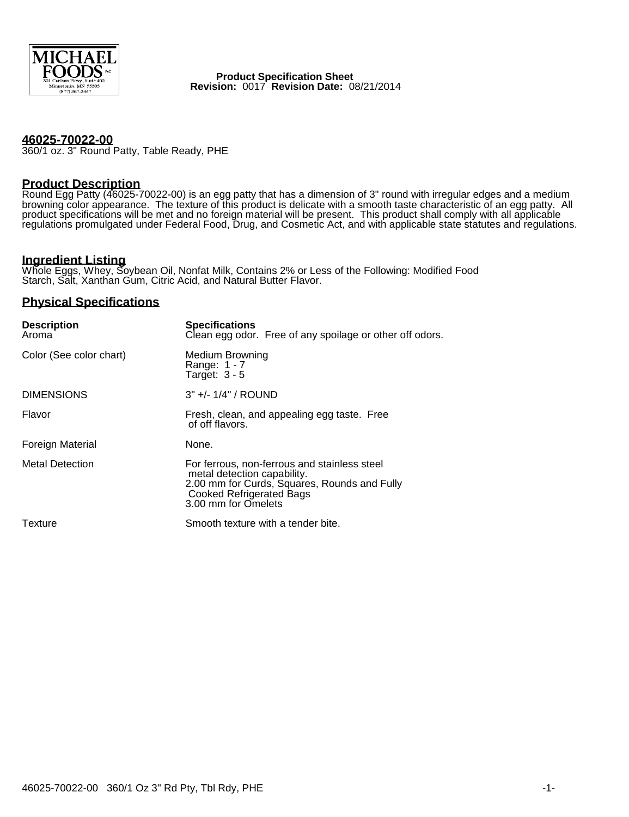

**Product Specification Sheet Revision:** 0017 **Revision Date:** 08/21/2014

#### **46025-70022-00**

360/1 oz. 3" Round Patty, Table Ready, PHE

#### **Product Description**

Round Egg Patty (46025-70022-00) is an egg patty that has a dimension of 3" round with irregular edges and a medium browning color appearance. The texture of this product is delicate with a smooth taste characteristic of an egg patty. All product specifications will be met and no foreign material will be present. This product shall comply with all applicable regulations promulgated under Federal Food, Drug, and Cosmetic Act, and with applicable state statutes and regulations.

# **Ingredient Listing**

Whole Eggs, Whey, Soybean Oil, Nonfat Milk, Contains 2% or Less of the Following: Modified Food Starch, Salt, Xanthan Gum, Citric Acid, and Natural Butter Flavor.

### **Physical Specifications**

| <b>Description</b><br>Aroma | <b>Specifications</b><br>Clean egg odor. Free of any spoilage or other off odors.                                                                                                     |
|-----------------------------|---------------------------------------------------------------------------------------------------------------------------------------------------------------------------------------|
| Color (See color chart)     | Medium Browning<br>Range: 1 - 7<br>Target: $3 - 5$                                                                                                                                    |
| <b>DIMENSIONS</b>           | $3" +/- 1/4" / ROUND$                                                                                                                                                                 |
| Flavor                      | Fresh, clean, and appealing egg taste. Free<br>of off flavors.                                                                                                                        |
| <b>Foreign Material</b>     | None.                                                                                                                                                                                 |
| <b>Metal Detection</b>      | For ferrous, non-ferrous and stainless steel<br>metal detection capability.<br>2.00 mm for Curds, Squares, Rounds and Fully<br><b>Cooked Refrigerated Bags</b><br>3.00 mm for Omelets |
| Texture                     | Smooth texture with a tender bite.                                                                                                                                                    |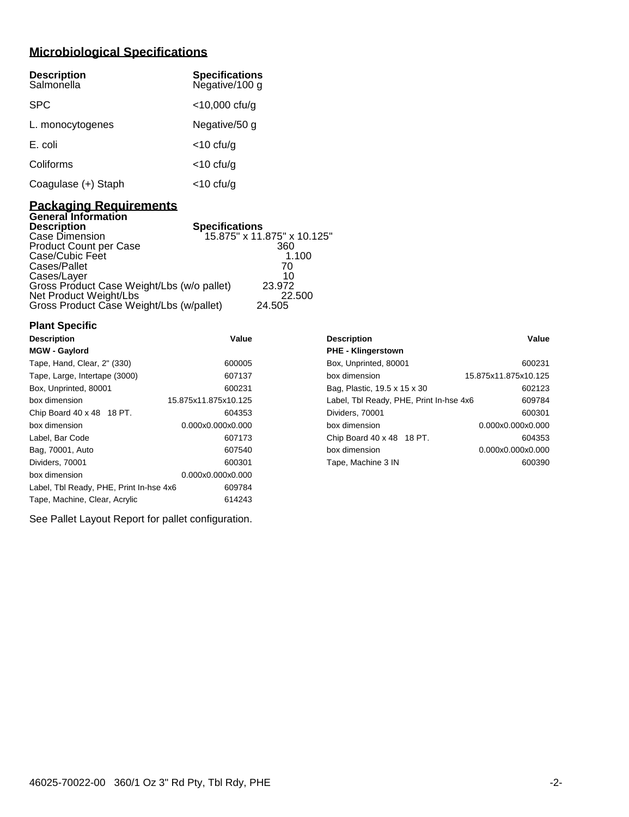# **Microbiological Specifications**

| <b>Description</b><br>Salmonella | <b>Specifications</b><br>Negative/100 g |
|----------------------------------|-----------------------------------------|
| <b>SPC</b>                       | $<$ 10,000 cfu/g                        |
| L. monocytogenes                 | Negative/50 g                           |
| E. coli                          | $<$ 10 cfu/g                            |
| Coliforms                        | $<$ 10 cfu/g                            |
| Coagulase (+) Staph              | <10 cfu/g                               |

### **Packaging Requirements General Information**

| <b>Description</b>                         | <b>Specifications</b>       |
|--------------------------------------------|-----------------------------|
| Case Dimension                             | 15.875" x 11.875" x 10.125" |
| Product Count per Case                     | 360                         |
| Case/Cubic Feet                            | 1.100                       |
| Cases/Pallet                               | 70                          |
| Cases/Layer                                | 10                          |
| Gross Product Case Weight/Lbs (w/o pallet) | 23.972                      |
| Net Product Weight/Lbs                     | 22,500                      |
| Gross Product Case Weight/Lbs (w/pallet)   | 24.505                      |

## **Plant Specific**

| <b>Description</b>                      | Value                | <b>Description</b>                      | Value                |
|-----------------------------------------|----------------------|-----------------------------------------|----------------------|
| <b>MGW - Gaylord</b>                    |                      | <b>PHE - Klingerstown</b>               |                      |
| Tape, Hand, Clear, 2" (330)             | 600005               | Box, Unprinted, 80001                   | 600231               |
| Tape, Large, Intertape (3000)           | 607137               | box dimension                           | 15.875x11.875x10.125 |
| Box, Unprinted, 80001                   | 600231               | Bag, Plastic, 19.5 x 15 x 30            | 602123               |
| box dimension                           | 15.875x11.875x10.125 | Label, Tbl Ready, PHE, Print In-hse 4x6 | 609784               |
| Chip Board 40 x 48 18 PT.               | 604353               | Dividers, 70001                         | 600301               |
| box dimension                           | 0.000x0.000x0.000    | box dimension                           | 0.000x0.000x0.000    |
| Label, Bar Code                         | 607173               | Chip Board 40 x 48 18 PT.               | 604353               |
| Bag, 70001, Auto                        | 607540               | box dimension                           | 0.000x0.000x0.000    |
| Dividers, 70001                         | 600301               | Tape, Machine 3 IN                      | 600390               |
| box dimension                           | 0.000x0.000x0.000    |                                         |                      |
| Label, Tbl Ready, PHE, Print In-hse 4x6 | 609784               |                                         |                      |
| Tape, Machine, Clear, Acrylic           | 614243               |                                         |                      |

| <b>PHE - Klingerstown</b>               |                      |
|-----------------------------------------|----------------------|
| Box, Unprinted, 80001                   | 600231               |
| box dimension                           | 15.875x11.875x10.125 |
| Bag, Plastic, 19.5 x 15 x 30            | 602123               |
| Label, Tbl Ready, PHE, Print In-hse 4x6 | 609784               |
| Dividers, 70001                         | 600301               |
| box dimension                           | 0.000x0.000x0.000    |
| Chip Board 40 x 48 18 PT.               | 604353               |
| box dimension                           | 0.000x0.000x0.000    |
| Tape, Machine 3 IN                      | 600390               |
|                                         |                      |

See Pallet Layout Report for pallet configuration.